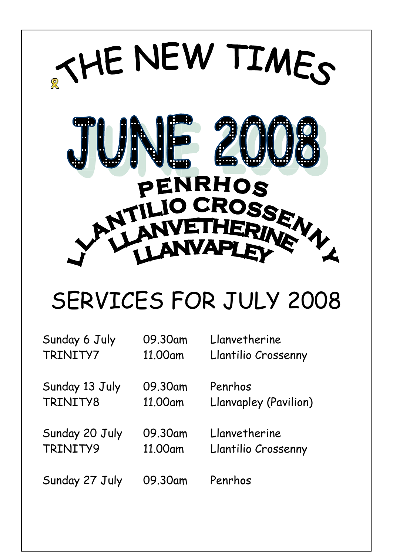

# SERVICES FOR JULY 2008

| Sunday 6 July  | 09.30am | Llanvetherine         |
|----------------|---------|-----------------------|
| TRINITY7       | 11.00am | Llantilio Crossenny   |
| Sunday 13 July | 09.30am | Penrhos               |
| TRINITY8       | 11,00am | Llanvapley (Pavilion) |
| Sunday 20 July | 09.30am | Llanvetherine         |
| TRINITY9       | 11,00am | Llantilio Crossenny   |
| Sunday 27 July | 09.30am | Penrhos               |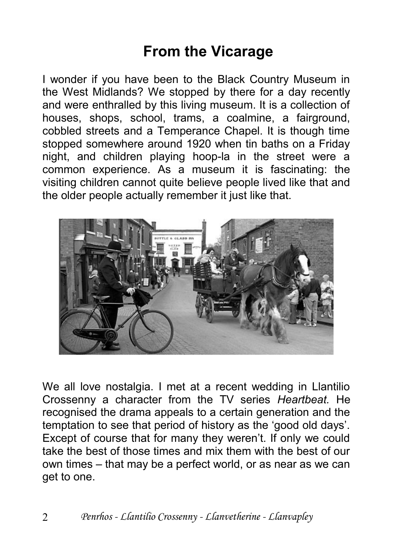### **From the Vicarage**

I wonder if you have been to the Black Country Museum in the West Midlands? We stopped by there for a day recently and were enthralled by this living museum. It is a collection of houses, shops, school, trams, a coalmine, a fairground, cobbled streets and a Temperance Chapel. It is though time stopped somewhere around 1920 when tin baths on a Friday night, and children playing hoop-la in the street were a common experience. As a museum it is fascinating: the visiting children cannot quite believe people lived like that and the older people actually remember it just like that.



We all love nostalgia. I met at a recent wedding in Llantilio Crossenny a character from the TV series *Heartbeat.* He recognised the drama appeals to a certain generation and the temptation to see that period of history as the 'good old days'. Except of course that for many they weren't. If only we could take the best of those times and mix them with the best of our own times – that may be a perfect world, or as near as we can get to one.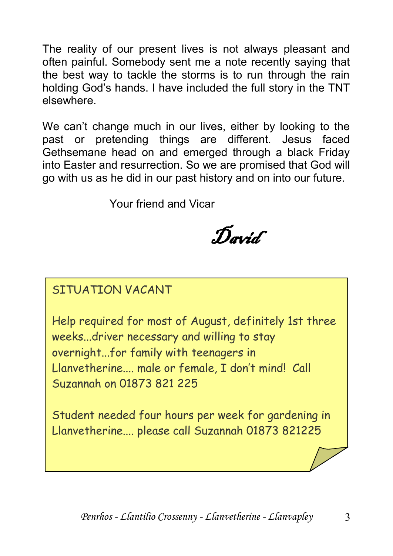The reality of our present lives is not always pleasant and often painful. Somebody sent me a note recently saying that the best way to tackle the storms is to run through the rain holding God's hands. I have included the full story in the TNT elsewhere.

We can't change much in our lives, either by looking to the past or pretending things are different. Jesus faced Gethsemane head on and emerged through a black Friday into Easter and resurrection. So we are promised that God will go with us as he did in our past history and on into our future.

Your friend and Vicar

David

#### SITUATION VACANT

Help required for most of August, definitely 1st three weeks...driver necessary and willing to stay overnight...for family with teenagers in Llanvetherine.... male or female, I don't mind! Call Suzannah on 01873 821 225

Student needed four hours per week for gardening in Llanvetherine.... please call Suzannah 01873 821225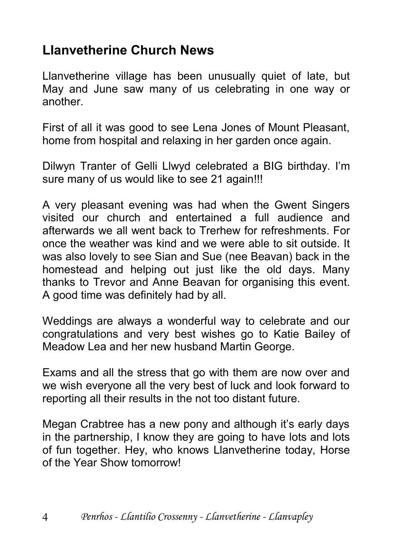#### **Llanvetherine Church News**

Llanvetherine village has been unusually quiet of late, but May and June saw many of us celebrating in one way or another.

First of all it was good to see Lena Jones of Mount Pleasant, home from hospital and relaxing in her garden once again.

Dilwyn Tranter of Gelli Llwyd celebrated a BIG birthday. I'm sure many of us would like to see 21 again!!!

A very pleasant evening was had when the Gwent Singers visited our church and entertained a full audience and afterwards we all went back to Trerhew for refreshments. For once the weather was kind and we were able to sit outside. It was also lovely to see Sian and Sue (nee Beavan) back in the homestead and helping out just like the old days. Many thanks to Trevor and Anne Beavan for organising this event. A good time was definitely had by all.

Weddings are always a wonderful way to celebrate and our congratulations and very best wishes go to Katie Bailey of Meadow Lea and her new husband Martin George.

Exams and all the stress that go with them are now over and we wish everyone all the very best of luck and look forward to reporting all their results in the not too distant future.

Megan Crabtree has a new pony and although it's early days in the partnership, I know they are going to have lots and lots of fun together. Hey, who knows Llanvetherine today, Horse of the Year Show tomorrow!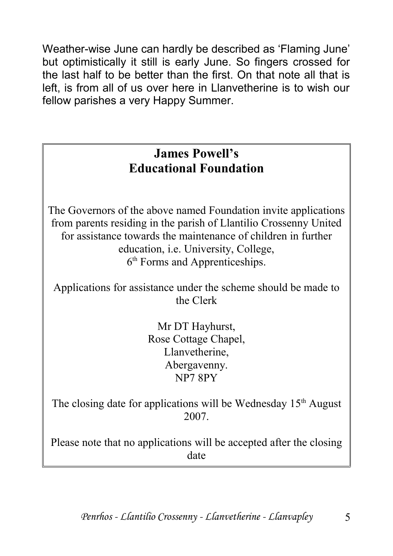Weather-wise June can hardly be described as 'Flaming June' but optimistically it still is early June. So fingers crossed for the last half to be better than the first. On that note all that is left, is from all of us over here in Llanvetherine is to wish our fellow parishes a very Happy Summer.

#### **James Powell's Educational Foundation**

The Governors of the above named Foundation invite applications from parents residing in the parish of Llantilio Crossenny United for assistance towards the maintenance of children in further education, i.e. University, College, 6<sup>th</sup> Forms and Apprenticeships.

Applications for assistance under the scheme should be made to the Clerk

> Mr DT Hayhurst, Rose Cottage Chapel, Llanvetherine, Abergavenny. NP7 8PY

The closing date for applications will be Wednesday  $15<sup>th</sup>$  August 2007.

Please note that no applications will be accepted after the closing date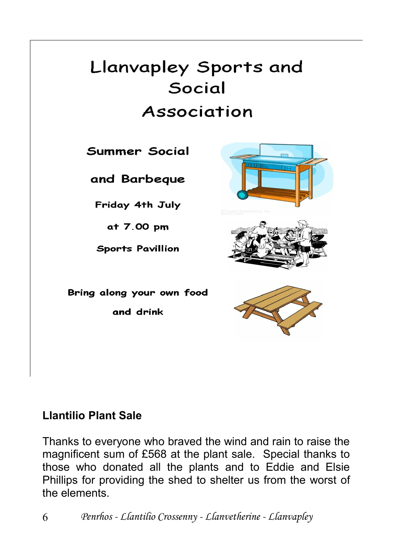# Llanvapley Sports and Social Association

Summer Social

and Barbeque

Friday 4th July

at 7.00 pm

**Sports Pavillion** 

Bring along your own food and drink

#### **Llantilio Plant Sale**

Thanks to everyone who braved the wind and rain to raise the magnificent sum of £568 at the plant sale. Special thanks to those who donated all the plants and to Eddie and Elsie Phillips for providing the shed to shelter us from the worst of the elements.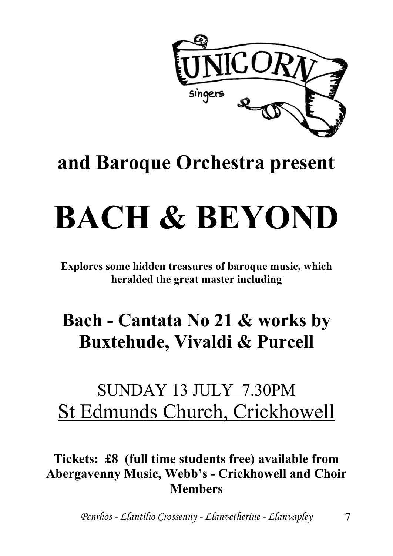

# **and Baroque Orchestra present**

# **BACH & BEYOND**

**Explores some hidden treasures of baroque music, which heralded the great master including**

# **Bach - Cantata No 21 & works by Buxtehude, Vivaldi & Purcell**

### SUNDAY 13 JULY 7.30PM St Edmunds Church, Crickhowell

#### **Tickets: £8 (full time students free) available from Abergavenny Music, Webb's - Crickhowell and Choir Members**

*Penrhos - Llantilio Crossenny - Llanvetherine - Llanvapley* 7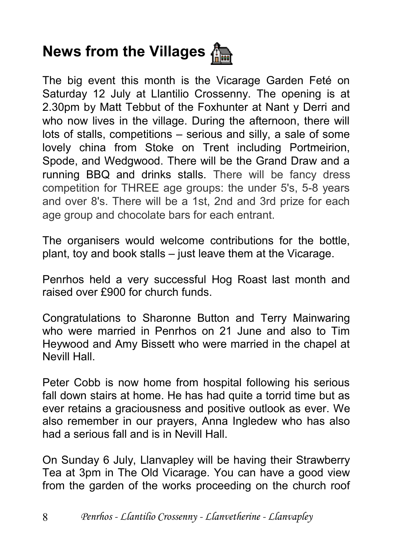# **News from the Villages** 偏

The big event this month is the Vicarage Garden Feté on Saturday 12 July at Llantilio Crossenny. The opening is at 2.30pm by Matt Tebbut of the Foxhunter at Nant y Derri and who now lives in the village. During the afternoon, there will lots of stalls, competitions – serious and silly, a sale of some lovely china from Stoke on Trent including Portmeirion, Spode, and Wedgwood. There will be the Grand Draw and a running BBQ and drinks stalls. There will be fancy dress competition for THREE age groups: the under 5's, 5-8 years and over 8's. There will be a 1st, 2nd and 3rd prize for each age group and chocolate bars for each entrant.

The organisers would welcome contributions for the bottle, plant, toy and book stalls – just leave them at the Vicarage.

Penrhos held a very successful Hog Roast last month and raised over £900 for church funds.

Congratulations to Sharonne Button and Terry Mainwaring who were married in Penrhos on 21 June and also to Tim Heywood and Amy Bissett who were married in the chapel at Nevill Hall.

Peter Cobb is now home from hospital following his serious fall down stairs at home. He has had quite a torrid time but as ever retains a graciousness and positive outlook as ever. We also remember in our prayers, Anna Ingledew who has also had a serious fall and is in Nevill Hall.

On Sunday 6 July, Llanvapley will be having their Strawberry Tea at 3pm in The Old Vicarage. You can have a good view from the garden of the works proceeding on the church roof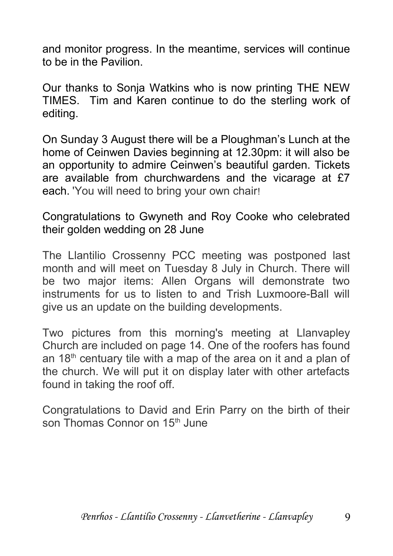and monitor progress. In the meantime, services will continue to be in the Pavilion.

Our thanks to Sonja Watkins who is now printing THE NEW TIMES. Tim and Karen continue to do the sterling work of editing.

On Sunday 3 August there will be a Ploughman's Lunch at the home of Ceinwen Davies beginning at 12.30pm: it will also be an opportunity to admire Ceinwen's beautiful garden. Tickets are available from churchwardens and the vicarage at £7 each. 'You will need to bring your own chair!

Congratulations to Gwyneth and Roy Cooke who celebrated their golden wedding on 28 June

The Llantilio Crossenny PCC meeting was postponed last month and will meet on Tuesday 8 July in Church. There will be two major items: Allen Organs will demonstrate two instruments for us to listen to and Trish Luxmoore-Ball will give us an update on the building developments.

Two pictures from this morning's meeting at Llanvapley Church are included on page 14. One of the roofers has found an  $18<sup>th</sup>$  centuary tile with a map of the area on it and a plan of the church. We will put it on display later with other artefacts found in taking the roof off.

Congratulations to David and Erin Parry on the birth of their son Thomas Connor on 15<sup>th</sup> June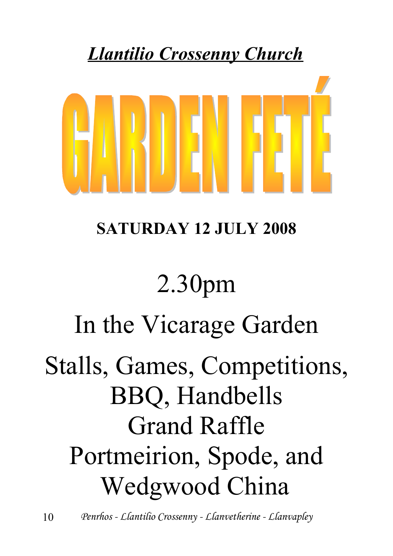# *Llantilio Crossenny Church*



# **SATURDAY 12 JULY 2008**

# 2.30pm

# In the Vicarage Garden

# Stalls, Games, Competitions, BBQ, Handbells Grand Raffle Portmeirion, Spode, and Wedgwood China

10 *Penrhos - Llantilio Crossenny - Llanvetherine - Llanvapley*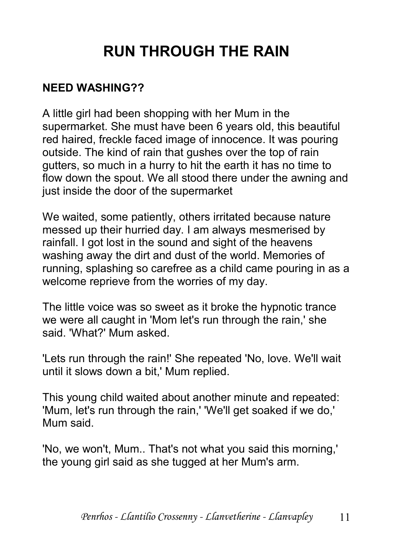### **RUN THROUGH THE RAIN**

#### **NEED WASHING??**

A little girl had been shopping with her Mum in the supermarket. She must have been 6 years old, this beautiful red haired, freckle faced image of innocence. It was pouring outside. The kind of rain that gushes over the top of rain gutters, so much in a hurry to hit the earth it has no time to flow down the spout. We all stood there under the awning and just inside the door of the supermarket

We waited, some patiently, others irritated because nature messed up their hurried day. I am always mesmerised by rainfall. I got lost in the sound and sight of the heavens washing away the dirt and dust of the world. Memories of running, splashing so carefree as a child came pouring in as a welcome reprieve from the worries of my day.

The little voice was so sweet as it broke the hypnotic trance we were all caught in 'Mom let's run through the rain,' she said. 'What?' Mum asked.

'Lets run through the rain!' She repeated 'No, love. We'll wait until it slows down a bit,' Mum replied.

This young child waited about another minute and repeated: 'Mum, let's run through the rain,' 'We'll get soaked if we do,' Mum said.

'No, we won't, Mum.. That's not what you said this morning,' the young girl said as she tugged at her Mum's arm.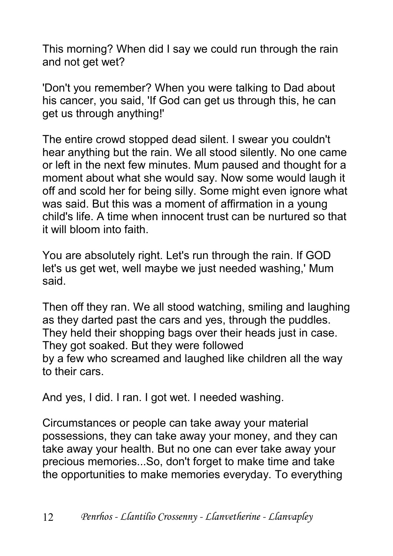This morning? When did I say we could run through the rain and not get wet?

'Don't you remember? When you were talking to Dad about his cancer, you said, 'If God can get us through this, he can get us through anything!'

The entire crowd stopped dead silent. I swear you couldn't hear anything but the rain. We all stood silently. No one came or left in the next few minutes. Mum paused and thought for a moment about what she would say. Now some would laugh it off and scold her for being silly. Some might even ignore what was said. But this was a moment of affirmation in a young child's life. A time when innocent trust can be nurtured so that it will bloom into faith.

You are absolutely right. Let's run through the rain. If GOD let's us get wet, well maybe we just needed washing,' Mum said.

Then off they ran. We all stood watching, smiling and laughing as they darted past the cars and yes, through the puddles. They held their shopping bags over their heads just in case. They got soaked. But they were followed by a few who screamed and laughed like children all the way to their cars.

And yes, I did. I ran. I got wet. I needed washing.

Circumstances or people can take away your material possessions, they can take away your money, and they can take away your health. But no one can ever take away your precious memories...So, don't forget to make time and take the opportunities to make memories everyday. To everything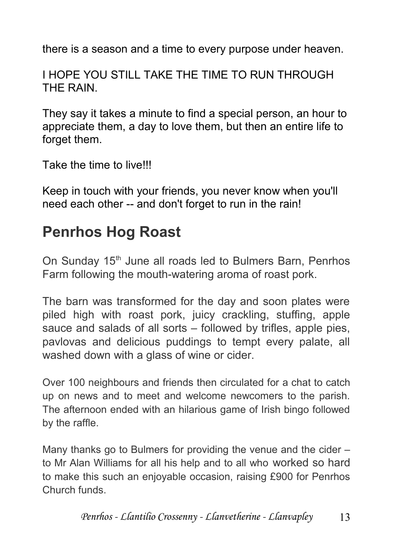there is a season and a time to every purpose under heaven.

I HOPE YOU STILL TAKE THE TIME TO RUN THROUGH THE RAIN.

They say it takes a minute to find a special person, an hour to appreciate them, a day to love them, but then an entire life to forget them.

Take the time to live!!!

Keep in touch with your friends, you never know when you'll need each other -- and don't forget to run in the rain!

### **Penrhos Hog Roast**

On Sunday 15<sup>th</sup> June all roads led to Bulmers Barn, Penrhos Farm following the mouth-watering aroma of roast pork.

The barn was transformed for the day and soon plates were piled high with roast pork, juicy crackling, stuffing, apple sauce and salads of all sorts – followed by trifles, apple pies, pavlovas and delicious puddings to tempt every palate, all washed down with a glass of wine or cider.

Over 100 neighbours and friends then circulated for a chat to catch up on news and to meet and welcome newcomers to the parish. The afternoon ended with an hilarious game of Irish bingo followed by the raffle.

Many thanks go to Bulmers for providing the venue and the cider – to Mr Alan Williams for all his help and to all who worked so hard to make this such an enjoyable occasion, raising £900 for Penrhos Church funds.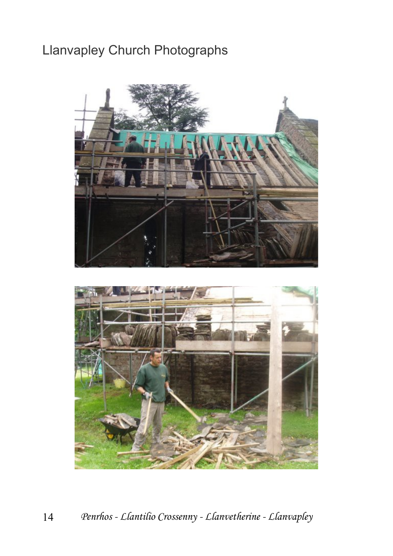### Llanvapley Church Photographs



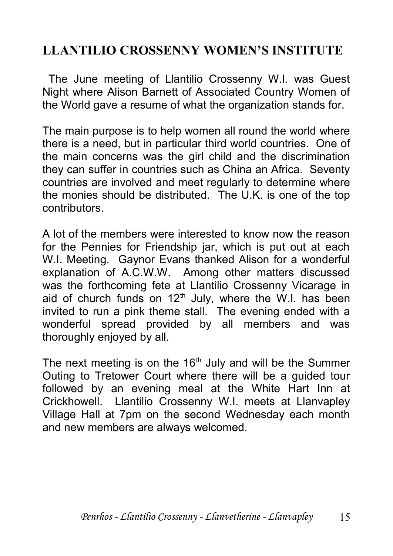#### **LLANTILIO CROSSENNY WOMEN'S INSTITUTE**

 The June meeting of Llantilio Crossenny W.I. was Guest Night where Alison Barnett of Associated Country Women of the World gave a resume of what the organization stands for.

The main purpose is to help women all round the world where there is a need, but in particular third world countries. One of the main concerns was the girl child and the discrimination they can suffer in countries such as China an Africa. Seventy countries are involved and meet regularly to determine where the monies should be distributed. The U.K. is one of the top contributors.

A lot of the members were interested to know now the reason for the Pennies for Friendship jar, which is put out at each W.I. Meeting. Gaynor Evans thanked Alison for a wonderful explanation of A.C.W.W. Among other matters discussed was the forthcoming fete at Llantilio Crossenny Vicarage in aid of church funds on  $12<sup>th</sup>$  July, where the W.I. has been invited to run a pink theme stall. The evening ended with a wonderful spread provided by all members and was thoroughly enjoyed by all.

The next meeting is on the  $16<sup>th</sup>$  July and will be the Summer Outing to Tretower Court where there will be a guided tour followed by an evening meal at the White Hart Inn at Crickhowell. Llantilio Crossenny W.I. meets at Llanvapley Village Hall at 7pm on the second Wednesday each month and new members are always welcomed.